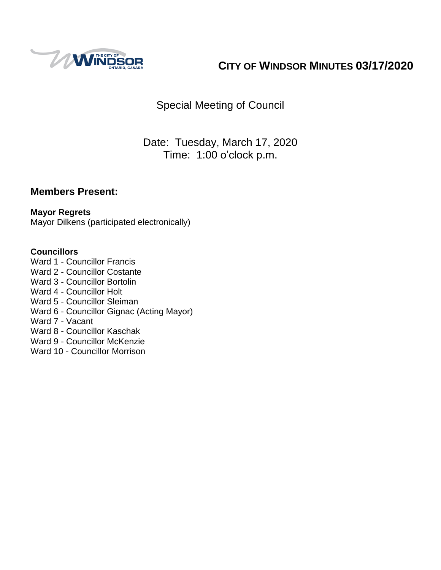

# **CITY OF WINDSOR MINUTES 03/17/2020**

Special Meeting of Council

Date: Tuesday, March 17, 2020 Time: 1:00 o'clock p.m.

### **Members Present:**

### **Mayor Regrets**

Mayor Dilkens (participated electronically)

#### **Councillors**

- Ward 1 Councillor Francis
- Ward 2 Councillor Costante
- Ward 3 Councillor Bortolin
- Ward 4 Councillor Holt
- Ward 5 Councillor Sleiman
- Ward 6 Councillor Gignac (Acting Mayor)
- Ward 7 Vacant
- Ward 8 Councillor Kaschak
- Ward 9 Councillor McKenzie
- Ward 10 Councillor Morrison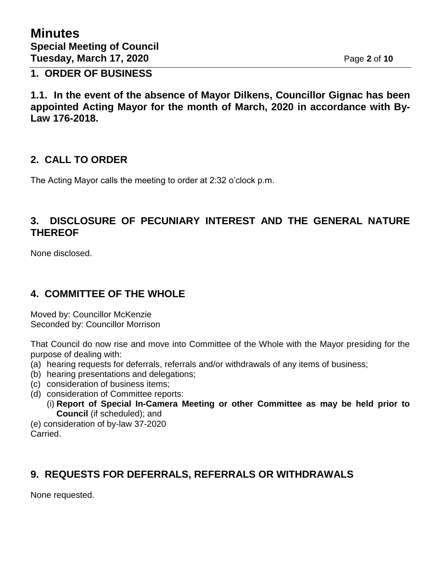**1. ORDER OF BUSINESS**

**1.1. In the event of the absence of Mayor Dilkens, Councillor Gignac has been appointed Acting Mayor for the month of March, 2020 in accordance with By-Law 176-2018.**

### **2. CALL TO ORDER**

The Acting Mayor calls the meeting to order at 2:32 o'clock p.m.

### **3. DISCLOSURE OF PECUNIARY INTEREST AND THE GENERAL NATURE THEREOF**

None disclosed.

### **4. COMMITTEE OF THE WHOLE**

Moved by: Councillor McKenzie Seconded by: Councillor Morrison

That Council do now rise and move into Committee of the Whole with the Mayor presiding for the purpose of dealing with:

- (a) hearing requests for deferrals, referrals and/or withdrawals of any items of business;
- (b) hearing presentations and delegations;
- (c) consideration of business items;
- (d) consideration of Committee reports:
	- (i) **Report of Special In-Camera Meeting or other Committee as may be held prior to Council** (if scheduled); and

(e) consideration of by-law 37-2020 Carried.

# **9. REQUESTS FOR DEFERRALS, REFERRALS OR WITHDRAWALS**

None requested.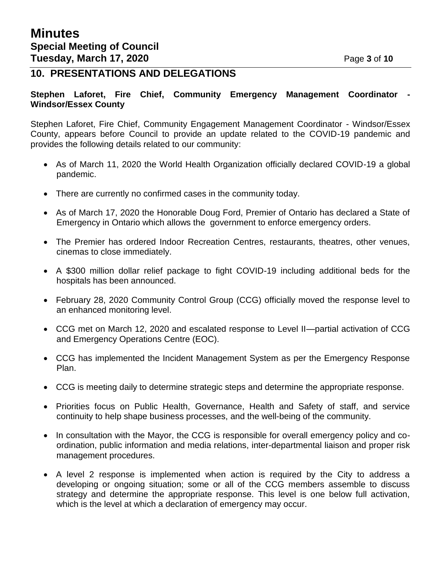### **10. PRESENTATIONS AND DELEGATIONS**

#### **Stephen Laforet, Fire Chief, Community Emergency Management Coordinator - Windsor/Essex County**

Stephen Laforet, Fire Chief, Community Engagement Management Coordinator - Windsor/Essex County, appears before Council to provide an update related to the COVID-19 pandemic and provides the following details related to our community:

- As of March 11, 2020 the World Health Organization officially declared COVID-19 a global pandemic.
- There are currently no confirmed cases in the community today.
- As of March 17, 2020 the Honorable Doug Ford, Premier of Ontario has declared a State of Emergency in Ontario which allows the government to enforce emergency orders.
- The Premier has ordered Indoor Recreation Centres, restaurants, theatres, other venues, cinemas to close immediately.
- A \$300 million dollar relief package to fight COVID-19 including additional beds for the hospitals has been announced.
- February 28, 2020 Community Control Group (CCG) officially moved the response level to an enhanced monitoring level.
- CCG met on March 12, 2020 and escalated response to Level II—partial activation of CCG and Emergency Operations Centre (EOC).
- CCG has implemented the Incident Management System as per the Emergency Response Plan.
- CCG is meeting daily to determine strategic steps and determine the appropriate response.
- Priorities focus on Public Health, Governance, Health and Safety of staff, and service continuity to help shape business processes, and the well-being of the community.
- In consultation with the Mayor, the CCG is responsible for overall emergency policy and coordination, public information and media relations, inter-departmental liaison and proper risk management procedures.
- A level 2 response is implemented when action is required by the City to address a developing or ongoing situation; some or all of the CCG members assemble to discuss strategy and determine the appropriate response. This level is one below full activation, which is the level at which a declaration of emergency may occur.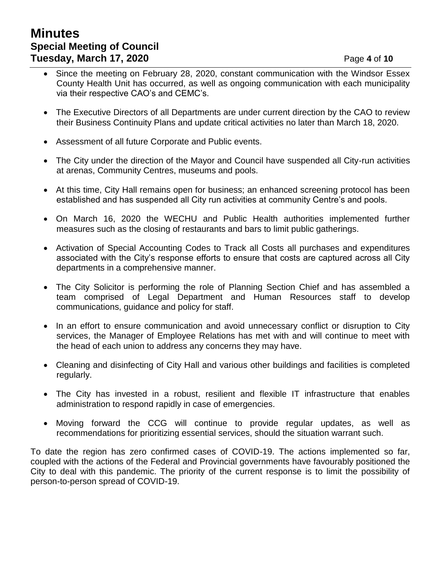# **Minutes Special Meeting of Council Tuesday, March 17, 2020 Page 4 of 10**

- Since the meeting on February 28, 2020, constant communication with the Windsor Essex County Health Unit has occurred, as well as ongoing communication with each municipality via their respective CAO's and CEMC's.
- The Executive Directors of all Departments are under current direction by the CAO to review their Business Continuity Plans and update critical activities no later than March 18, 2020.
- Assessment of all future Corporate and Public events.
- The City under the direction of the Mayor and Council have suspended all City-run activities at arenas, Community Centres, museums and pools.
- At this time, City Hall remains open for business; an enhanced screening protocol has been established and has suspended all City run activities at community Centre's and pools.
- On March 16, 2020 the WECHU and Public Health authorities implemented further measures such as the closing of restaurants and bars to limit public gatherings.
- Activation of Special Accounting Codes to Track all Costs all purchases and expenditures associated with the City's response efforts to ensure that costs are captured across all City departments in a comprehensive manner.
- The City Solicitor is performing the role of Planning Section Chief and has assembled a team comprised of Legal Department and Human Resources staff to develop communications, guidance and policy for staff.
- In an effort to ensure communication and avoid unnecessary conflict or disruption to City services, the Manager of Employee Relations has met with and will continue to meet with the head of each union to address any concerns they may have.
- Cleaning and disinfecting of City Hall and various other buildings and facilities is completed regularly.
- The City has invested in a robust, resilient and flexible IT infrastructure that enables administration to respond rapidly in case of emergencies.
- Moving forward the CCG will continue to provide regular updates, as well as recommendations for prioritizing essential services, should the situation warrant such.

To date the region has zero confirmed cases of COVID-19. The actions implemented so far, coupled with the actions of the Federal and Provincial governments have favourably positioned the City to deal with this pandemic. The priority of the current response is to limit the possibility of person-to-person spread of COVID-19.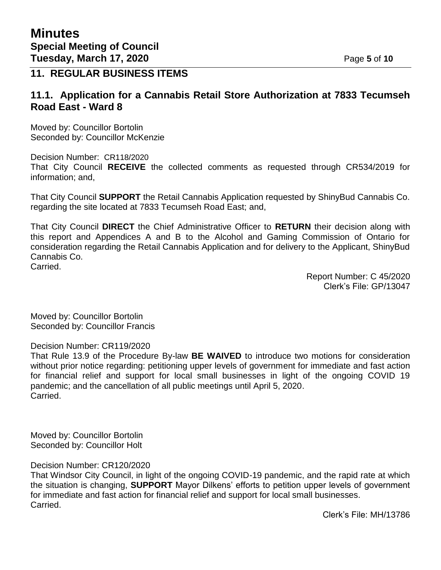### **11. REGULAR BUSINESS ITEMS**

### **11.1. Application for a Cannabis Retail Store Authorization at 7833 Tecumseh Road East - Ward 8**

Moved by: Councillor Bortolin Seconded by: Councillor McKenzie

Decision Number: CR118/2020 That City Council **RECEIVE** the collected comments as requested through CR534/2019 for information; and,

That City Council **SUPPORT** the Retail Cannabis Application requested by ShinyBud Cannabis Co. regarding the site located at 7833 Tecumseh Road East; and,

That City Council **DIRECT** the Chief Administrative Officer to **RETURN** their decision along with this report and Appendices A and B to the Alcohol and Gaming Commission of Ontario for consideration regarding the Retail Cannabis Application and for delivery to the Applicant, ShinyBud Cannabis Co. Carried.

> Report Number: C 45/2020 Clerk's File: GP/13047

Moved by: Councillor Bortolin Seconded by: Councillor Francis

Decision Number: CR119/2020

That Rule 13.9 of the Procedure By-law **BE WAIVED** to introduce two motions for consideration without prior notice regarding: petitioning upper levels of government for immediate and fast action for financial relief and support for local small businesses in light of the ongoing COVID 19 pandemic; and the cancellation of all public meetings until April 5, 2020. Carried.

Moved by: Councillor Bortolin Seconded by: Councillor Holt

Decision Number: CR120/2020

That Windsor City Council, in light of the ongoing COVID-19 pandemic, and the rapid rate at which the situation is changing, **SUPPORT** Mayor Dilkens' efforts to petition upper levels of government for immediate and fast action for financial relief and support for local small businesses. Carried.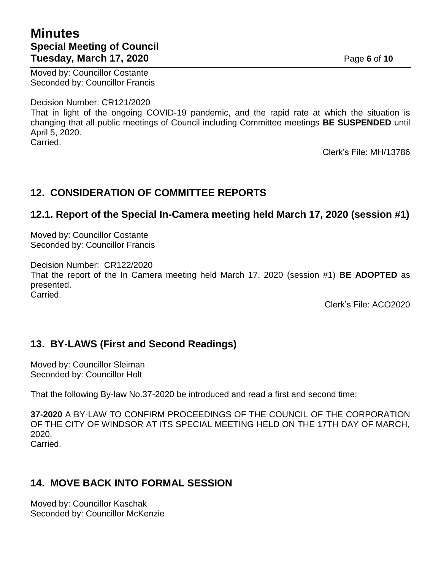# **Minutes Special Meeting of Council Tuesday, March 17, 2020 Page 6** of 10

Moved by: Councillor Costante Seconded by: Councillor Francis

Decision Number: CR121/2020

That in light of the ongoing COVID-19 pandemic, and the rapid rate at which the situation is changing that all public meetings of Council including Committee meetings **BE SUSPENDED** until April 5, 2020. Carried.

Clerk's File: MH/13786

# **12. CONSIDERATION OF COMMITTEE REPORTS**

### **12.1. Report of the Special In-Camera meeting held March 17, 2020 (session #1)**

Moved by: Councillor Costante Seconded by: Councillor Francis

Decision Number: CR122/2020 That the report of the In Camera meeting held March 17, 2020 (session #1) **BE ADOPTED** as presented.

Carried.

Clerk's File: ACO2020

# **13. BY-LAWS (First and Second Readings)**

Moved by: Councillor Sleiman Seconded by: Councillor Holt

That the following By-law No.37-2020 be introduced and read a first and second time:

**37-2020** A BY-LAW TO CONFIRM PROCEEDINGS OF THE COUNCIL OF THE CORPORATION OF THE CITY OF WINDSOR AT ITS SPECIAL MEETING HELD ON THE 17TH DAY OF MARCH, 2020. Carried.

# **14. MOVE BACK INTO FORMAL SESSION**

Moved by: Councillor Kaschak Seconded by: Councillor McKenzie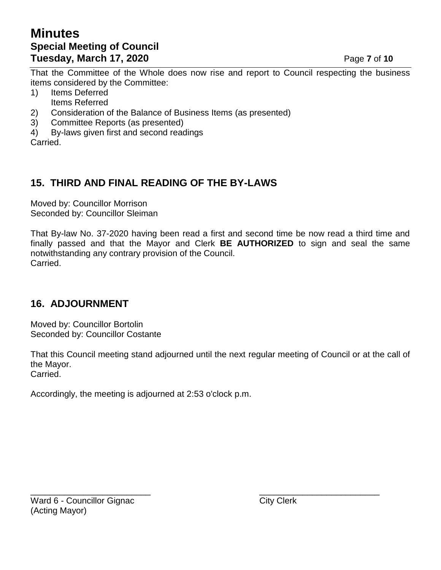# **Minutes Special Meeting of Council Tuesday, March 17, 2020 Page 7** of 10

That the Committee of the Whole does now rise and report to Council respecting the business items considered by the Committee:

1) Items Deferred

- Items Referred
- 2) Consideration of the Balance of Business Items (as presented)
- 3) Committee Reports (as presented)
- 4) By-laws given first and second readings
- Carried.

# **15. THIRD AND FINAL READING OF THE BY-LAWS**

Moved by: Councillor Morrison Seconded by: Councillor Sleiman

That By-law No. 37-2020 having been read a first and second time be now read a third time and finally passed and that the Mayor and Clerk **BE AUTHORIZED** to sign and seal the same notwithstanding any contrary provision of the Council. Carried.

# **16. ADJOURNMENT**

Moved by: Councillor Bortolin Seconded by: Councillor Costante

That this Council meeting stand adjourned until the next regular meeting of Council or at the call of the Mayor. Carried.

Accordingly, the meeting is adjourned at 2:53 o'clock p.m.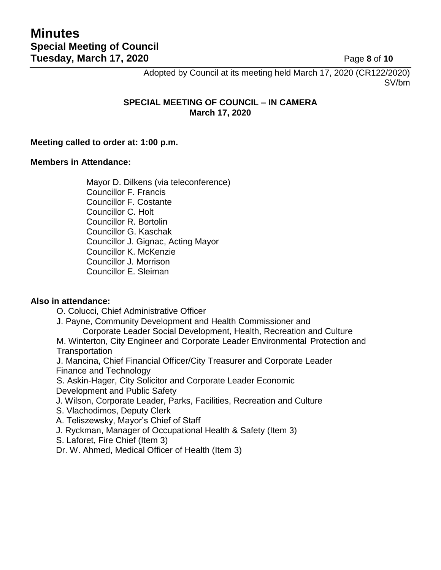Adopted by Council at its meeting held March 17, 2020 (CR122/2020) SV/bm

#### **SPECIAL MEETING OF COUNCIL – IN CAMERA March 17, 2020**

#### **Meeting called to order at: 1:00 p.m.**

#### **Members in Attendance:**

Mayor D. Dilkens (via teleconference) Councillor F. Francis Councillor F. Costante Councillor C. Holt Councillor R. Bortolin Councillor G. Kaschak Councillor J. Gignac, Acting Mayor Councillor K. McKenzie Councillor J. Morrison Councillor E. Sleiman

#### **Also in attendance:**

O. Colucci, Chief Administrative Officer

J. Payne, Community Development and Health Commissioner and

Corporate Leader Social Development, Health, Recreation and Culture

M. Winterton, City Engineer and Corporate Leader Environmental Protection and **Transportation** 

J. Mancina, Chief Financial Officer/City Treasurer and Corporate Leader Finance and Technology

S. Askin-Hager, City Solicitor and Corporate Leader Economic Development and Public Safety

J. Wilson, Corporate Leader, Parks, Facilities, Recreation and Culture

S. Vlachodimos, Deputy Clerk

A. Teliszewsky, Mayor's Chief of Staff

J. Ryckman, Manager of Occupational Health & Safety (Item 3)

S. Laforet, Fire Chief (Item 3)

Dr. W. Ahmed, Medical Officer of Health (Item 3)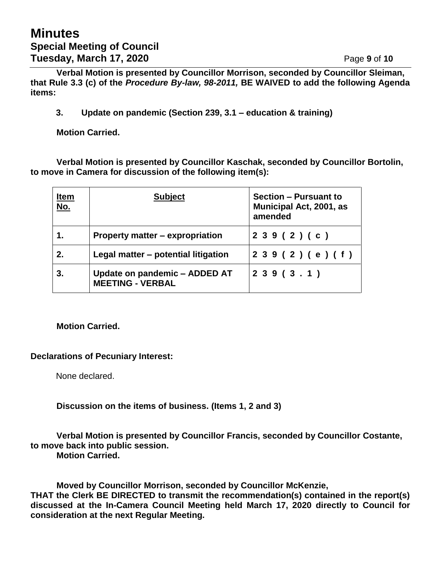**Verbal Motion is presented by Councillor Morrison, seconded by Councillor Sleiman, that Rule 3.3 (c) of the** *Procedure By-law, 98-2011,* **BE WAIVED to add the following Agenda items:**

**3. Update on pandemic (Section 239, 3.1 – education & training)**

**Motion Carried.**

**Verbal Motion is presented by Councillor Kaschak, seconded by Councillor Bortolin, to move in Camera for discussion of the following item(s):**

| <u>Item</u><br><u>No.</u> | <b>Subject</b>                                           | <b>Section - Pursuant to</b><br><b>Municipal Act, 2001, as</b><br>amended |
|---------------------------|----------------------------------------------------------|---------------------------------------------------------------------------|
|                           | <b>Property matter – expropriation</b>                   | 239(2)(c)                                                                 |
| 2.                        | Legal matter – potential litigation                      | 2 3 9 (2 ) (e ) (f )                                                      |
| 3.                        | Update on pandemic - ADDED AT<br><b>MEETING - VERBAL</b> | 239(3.1)                                                                  |

#### **Motion Carried.**

#### **Declarations of Pecuniary Interest:**

None declared.

**Discussion on the items of business. (Items 1, 2 and 3)**

**Verbal Motion is presented by Councillor Francis, seconded by Councillor Costante, to move back into public session.**

**Motion Carried.**

**Moved by Councillor Morrison, seconded by Councillor McKenzie, THAT the Clerk BE DIRECTED to transmit the recommendation(s) contained in the report(s) discussed at the In-Camera Council Meeting held March 17, 2020 directly to Council for consideration at the next Regular Meeting.**